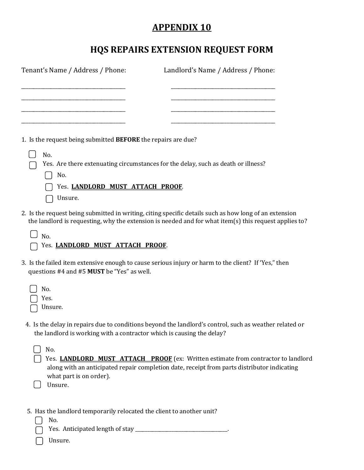## **APPENDIX 10**

## **HQS REPAIRS EXTENSION REQUEST FORM**

| Tenant's Name / Address / Phone:                                             | Landlord's Name / Address / Phone:                                                                                                                                                                              |
|------------------------------------------------------------------------------|-----------------------------------------------------------------------------------------------------------------------------------------------------------------------------------------------------------------|
|                                                                              |                                                                                                                                                                                                                 |
| 1. Is the request being submitted BEFORE the repairs are due?                |                                                                                                                                                                                                                 |
| No.<br>No.<br>Yes. LANDLORD MUST ATTACH PROOF.<br>Unsure.                    | Yes. Are there extenuating circumstances for the delay, such as death or illness?                                                                                                                               |
| No.<br>Yes. LANDLORD MUST ATTACH PROOF.                                      | 2. Is the request being submitted in writing, citing specific details such as how long of an extension<br>the landlord is requesting, why the extension is needed and for what item(s) this request applies to? |
| questions #4 and #5 MUST be "Yes" as well.                                   | 3. Is the failed item extensive enough to cause serious injury or harm to the client? If 'Yes," then                                                                                                            |
| No.<br>Yes.<br>Unsure.                                                       |                                                                                                                                                                                                                 |
| the landlord is working with a contractor which is causing the delay?        | 4. Is the delay in repairs due to conditions beyond the landlord's control, such as weather related or                                                                                                          |
| No.<br>what part is on order).<br>Unsure.                                    | Yes. LANDLORD MUST ATTACH PROOF (ex: Written estimate from contractor to landlord<br>along with an anticipated repair completion date, receipt from parts distributor indicating                                |
| 5. Has the landlord temporarily relocated the client to another unit?<br>No. |                                                                                                                                                                                                                 |

- Yes. Anticipated length of stay \_\_\_\_\_\_\_\_\_\_\_\_\_\_\_\_\_\_\_\_\_\_\_\_\_\_\_\_\_\_\_\_\_\_\_.
- Unsure.